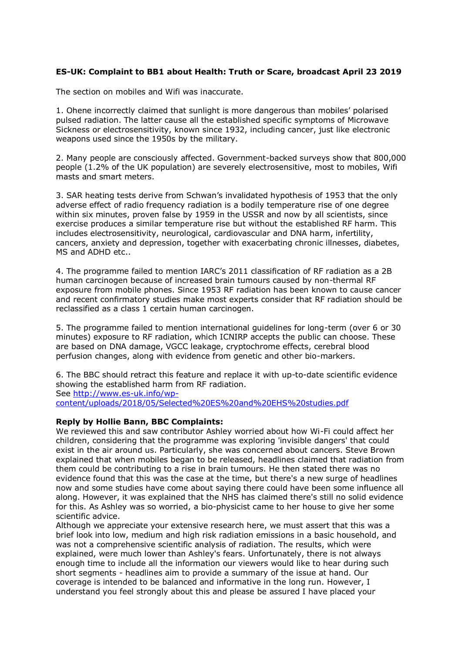## **ES-UK: Complaint to BB1 about Health: Truth or Scare, broadcast April 23 2019**

The section on mobiles and Wifi was inaccurate.

1. Ohene incorrectly claimed that sunlight is more dangerous than mobiles' polarised pulsed radiation. The latter cause all the established specific symptoms of Microwave Sickness or electrosensitivity, known since 1932, including cancer, just like electronic weapons used since the 1950s by the military.

2. Many people are consciously affected. Government-backed surveys show that 800,000 people (1.2% of the UK population) are severely electrosensitive, most to mobiles, Wifi masts and smart meters.

3. SAR heating tests derive from Schwan's invalidated hypothesis of 1953 that the only adverse effect of radio frequency radiation is a bodily temperature rise of one degree within six minutes, proven false by 1959 in the USSR and now by all scientists, since exercise produces a similar temperature rise but without the established RF harm. This includes electrosensitivity, neurological, cardiovascular and DNA harm, infertility, cancers, anxiety and depression, together with exacerbating chronic illnesses, diabetes, MS and ADHD etc..

4. The programme failed to mention IARC's 2011 classification of RF radiation as a 2B human carcinogen because of increased brain tumours caused by non-thermal RF exposure from mobile phones. Since 1953 RF radiation has been known to cause cancer and recent confirmatory studies make most experts consider that RF radiation should be reclassified as a class 1 certain human carcinogen.

5. The programme failed to mention international guidelines for long-term (over 6 or 30 minutes) exposure to RF radiation, which ICNIRP accepts the public can choose. These are based on DNA damage, VGCC leakage, cryptochrome effects, cerebral blood perfusion changes, along with evidence from genetic and other bio-markers.

6. The BBC should retract this feature and replace it with up-to-date scientific evidence showing the established harm from RF radiation. See [http://www.es-uk.info/wp-](http://www.es-uk.info/wp-content/uploads/2018/05/Selected%20ES%20and%20EHS%20studies.pdf)

[content/uploads/2018/05/Selected%20ES%20and%20EHS%20studies.pdf](http://www.es-uk.info/wp-content/uploads/2018/05/Selected%20ES%20and%20EHS%20studies.pdf)

## **Reply by Hollie Bann, BBC Complaints:**

We reviewed this and saw contributor Ashley worried about how Wi-Fi could affect her children, considering that the programme was exploring 'invisible dangers' that could exist in the air around us. Particularly, she was concerned about cancers. Steve Brown explained that when mobiles began to be released, headlines claimed that radiation from them could be contributing to a rise in brain tumours. He then stated there was no evidence found that this was the case at the time, but there's a new surge of headlines now and some studies have come about saying there could have been some influence all along. However, it was explained that the NHS has claimed there's still no solid evidence for this. As Ashley was so worried, a bio-physicist came to her house to give her some scientific advice.

Although we appreciate your extensive research here, we must assert that this was a brief look into low, medium and high risk radiation emissions in a basic household, and was not a comprehensive scientific analysis of radiation. The results, which were explained, were much lower than Ashley's fears. Unfortunately, there is not always enough time to include all the information our viewers would like to hear during such short segments - headlines aim to provide a summary of the issue at hand. Our coverage is intended to be balanced and informative in the long run. However, I understand you feel strongly about this and please be assured I have placed your